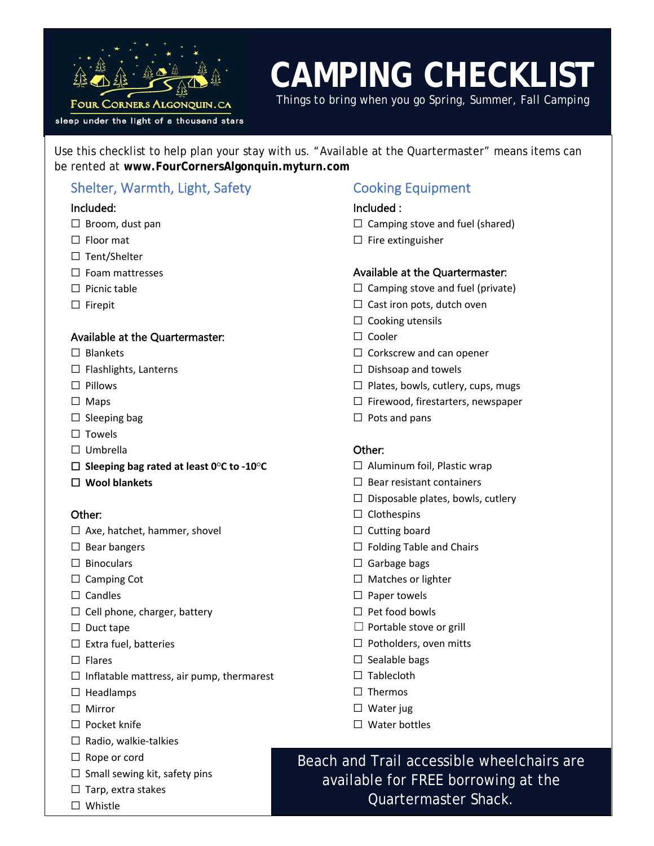

# **CAMPING CHECKLIST**

*Things to bring when you go Spring, Summer, Fall Camping*

Use this checklist to help plan your stay with us. "Available at the Quartermaster" means items can be rented at **www.FourCornersAlgonquin.myturn.com** 

# Shelter, Warmth, Light, Safety

#### Included:

- □ Broom, dust pan
- □ Floor mat
- ☐ Tent/Shelter
- ☐ Foam mattresses
- ☐ Picnic table
- ☐ Firepit

#### Available at the Quartermaster:

- □ Blankets
- ☐ Flashlights, Lanterns
- ☐ Pillows
- ☐ Maps
- $\Box$  Sleeping bag
- □ Towels
- ☐ Umbrella
- ☐ **Sleeping bag rated at least 0○C to -10○C**
- ☐ **Wool blankets**

#### Other:

- □ Axe, hatchet, hammer, shovel
- ☐ Bear bangers
- □ Binoculars
- □ Camping Cot
- □ Candles
- ☐ Cell phone, charger, battery
- ☐ Duct tape
- $\Box$  Extra fuel, batteries
- ☐ Flares
- $\Box$  Inflatable mattress, air pump, thermarest
- ☐ Headlamps
- ☐ Mirror
- ☐ Pocket knife
- $\Box$  Radio, walkie-talkies
- ☐ Rope or cord
- $\Box$  Small sewing kit, safety pins
- □ Tarp, extra stakes
- ☐ Whistle

## Cooking Equipment

#### Included :

- $\Box$  Camping stove and fuel (shared)
- ☐ Fire extinguisher

#### Available at the Quartermaster:

- $\Box$  Camping stove and fuel (private)
- $\Box$  Cast iron pots, dutch oven
- $\Box$  Cooking utensils
- ☐ Cooler
- ☐ Corkscrew and can opener
- $\Box$  Dishsoap and towels
- $\Box$  Plates, bowls, cutlery, cups, mugs
- ☐ Firewood, firestarters, newspaper
- $\Box$  Pots and pans

#### Other:

- ☐ Aluminum foil, Plastic wrap
- ☐ Bear resistant containers
- $\Box$  Disposable plates, bowls, cutlery
- □ Clothespins
- $\Box$  Cutting board
- ☐ Folding Table and Chairs
- $\Box$  Garbage bags
- ☐ Matches or lighter
- □ Paper towels
- ☐ Pet food bowls
- $\Box$  Portable stove or grill
- □ Potholders, oven mitts
- $\Box$  Sealable bags
- □ Tablecloth
- □ Thermos
- ☐ Water jug
- ☐ Water bottles

Beach and Trail accessible wheelchairs are available for FREE borrowing at the Quartermaster Shack.